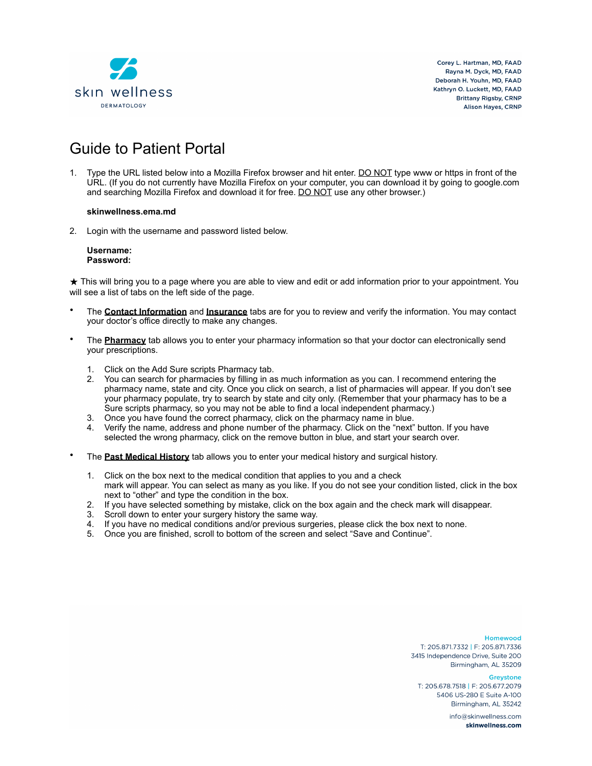

Corey L. Hartman, MD, FAAD Ravna M. Dyck, MD, FAAD Deborah H. Youhn, MD, FAAD Kathryn O. Luckett, MD. FAAD **Brittany Rigsby, CRNP Alison Haves, CRNP** 

# Guide to Patient Portal

1. Type the URL listed below into a Mozilla Firefox browser and hit enter. DO NOT type www or https in front of the URL. (If you do not currently have Mozilla Firefox on your computer, you can download it by going to google.com and searching Mozilla Firefox and download it for free. DO NOT use any other browser.)

#### **skinwellness.ema.md**

2. Login with the username and password listed below.

#### **Username: Password:**

★ This will bring you to a page where you are able to view and edit or add information prior to your appointment. You will see a list of tabs on the left side of the page.

- The **Contact Information** and **Insurance** tabs are for you to review and verify the information. You may contact your doctor's office directly to make any changes.
- The **Pharmacy** tab allows you to enter your pharmacy information so that your doctor can electronically send your prescriptions.
	- 1. Click on the Add Sure scripts Pharmacy tab.
	- 2. You can search for pharmacies by filling in as much information as you can. I recommend entering the pharmacy name, state and city. Once you click on search, a list of pharmacies will appear. If you don't see your pharmacy populate, try to search by state and city only. (Remember that your pharmacy has to be a Sure scripts pharmacy, so you may not be able to find a local independent pharmacy.)
	- 3. Once you have found the correct pharmacy, click on the pharmacy name in blue.
	- 4. Verify the name, address and phone number of the pharmacy. Click on the "next" button. If you have selected the wrong pharmacy, click on the remove button in blue, and start your search over.
- The **Past Medical History** tab allows you to enter your medical history and surgical history.
	- 1. Click on the box next to the medical condition that applies to you and a check mark will appear. You can select as many as you like. If you do not see your condition listed, click in the box next to "other" and type the condition in the box.
	- 2. If you have selected something by mistake, click on the box again and the check mark will disappear.
	- 3. Scroll down to enter your surgery history the same way.
	- 4. If you have no medical conditions and/or previous surgeries, please click the box next to none.
	- 5. Once you are finished, scroll to bottom of the screen and select "Save and Continue".

Homewood T: 205.871.7332 | F: 205.871.7336 3415 Independence Drive, Suite 200 Birmingham, AL 35209

Greystone

T: 205.678.7518 | F: 205.677.2079 5406 US-280 E Suite A-100 Birmingham, AL 35242

> info@skinwellness.com skinwellness.com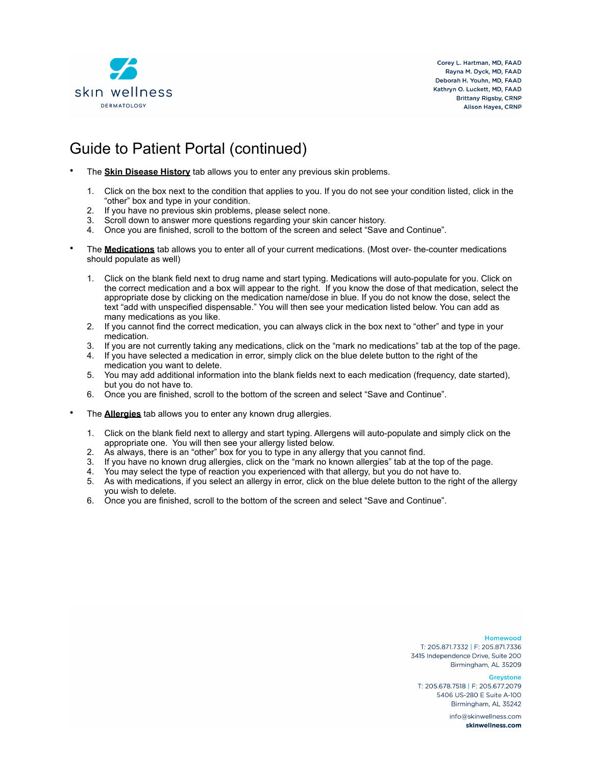

Corey L. Hartman, MD. FAAD Rayna M. Dyck, MD, FAAD Deborah H. Youhn, MD, FAAD Kathryn O. Luckett, MD. FAAD **Brittany Rigsby, CRNP Alison Haves, CRNP** 

### Guide to Patient Portal (continued)

- The **Skin Disease History** tab allows you to enter any previous skin problems.
	- 1. Click on the box next to the condition that applies to you. If you do not see your condition listed, click in the "other" box and type in your condition.
	-
	- 2. If you have no previous skin problems, please select none.<br>3. Scroll down to answer more questions regarding your skin cancer history. 3. Scroll down to answer more questions regarding your skin cancer history.
	- 4. Once you are finished, scroll to the bottom of the screen and select "Save and Continue".
- The **Medications** tab allows you to enter all of your current medications. (Most over- the-counter medications should populate as well)
	- 1. Click on the blank field next to drug name and start typing. Medications will auto-populate for you. Click on the correct medication and a box will appear to the right. If you know the dose of that medication, select the appropriate dose by clicking on the medication name/dose in blue. If you do not know the dose, select the text "add with unspecified dispensable." You will then see your medication listed below. You can add as many medications as you like.
	- 2. If you cannot find the correct medication, you can always click in the box next to "other" and type in your medication.
	- 3. If you are not currently taking any medications, click on the "mark no medications" tab at the top of the page.
	- 4. If you have selected a medication in error, simply click on the blue delete button to the right of the medication you want to delete.
	- 5. You may add additional information into the blank fields next to each medication (frequency, date started), but you do not have to.
	- 6. Once you are finished, scroll to the bottom of the screen and select "Save and Continue".
	- The **Allergies** tab allows you to enter any known drug allergies.
		- 1. Click on the blank field next to allergy and start typing. Allergens will auto-populate and simply click on the appropriate one. You will then see your allergy listed below.
		- 2. As always, there is an "other" box for you to type in any allergy that you cannot find.
		- 3. If you have no known drug allergies, click on the "mark no known allergies" tab at the top of the page.
		- 4. You may select the type of reaction you experienced with that allergy, but you do not have to.
		- 5. As with medications, if you select an allergy in error, click on the blue delete button to the right of the allergy you wish to delete.
		- 6. Once you are finished, scroll to the bottom of the screen and select "Save and Continue".

**Homewood** 

T: 205.871.7332 | F: 205.871.7336 3415 Independence Drive, Suite 200 Birmingham, AL 35209

Greystone

T: 205.678.7518 | F: 205.677.2079 5406 US-280 E Suite A-100 Birmingham, AL 35242

> info@skinwellness.com skinwellness.com